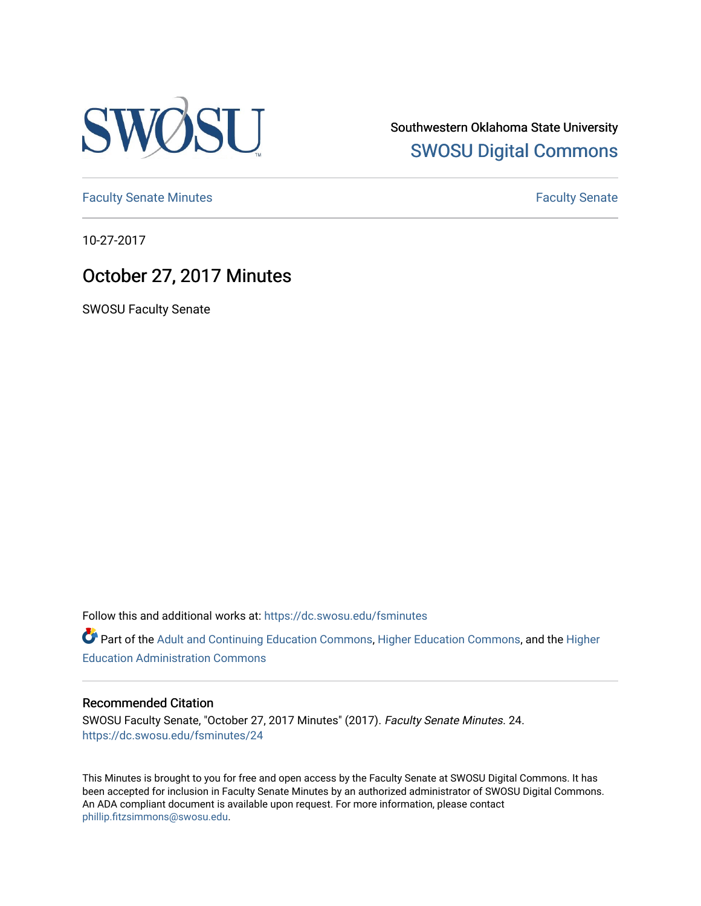

Southwestern Oklahoma State University [SWOSU Digital Commons](https://dc.swosu.edu/) 

[Faculty Senate Minutes](https://dc.swosu.edu/fsminutes) **Faculty** Senate Minutes

10-27-2017

## October 27, 2017 Minutes

SWOSU Faculty Senate

Follow this and additional works at: [https://dc.swosu.edu/fsminutes](https://dc.swosu.edu/fsminutes?utm_source=dc.swosu.edu%2Ffsminutes%2F24&utm_medium=PDF&utm_campaign=PDFCoverPages) 

Part of the [Adult and Continuing Education Commons,](http://network.bepress.com/hgg/discipline/1375?utm_source=dc.swosu.edu%2Ffsminutes%2F24&utm_medium=PDF&utm_campaign=PDFCoverPages) [Higher Education Commons,](http://network.bepress.com/hgg/discipline/1245?utm_source=dc.swosu.edu%2Ffsminutes%2F24&utm_medium=PDF&utm_campaign=PDFCoverPages) and the [Higher](http://network.bepress.com/hgg/discipline/791?utm_source=dc.swosu.edu%2Ffsminutes%2F24&utm_medium=PDF&utm_campaign=PDFCoverPages) [Education Administration Commons](http://network.bepress.com/hgg/discipline/791?utm_source=dc.swosu.edu%2Ffsminutes%2F24&utm_medium=PDF&utm_campaign=PDFCoverPages) 

#### Recommended Citation

SWOSU Faculty Senate, "October 27, 2017 Minutes" (2017). Faculty Senate Minutes. 24. [https://dc.swosu.edu/fsminutes/24](https://dc.swosu.edu/fsminutes/24?utm_source=dc.swosu.edu%2Ffsminutes%2F24&utm_medium=PDF&utm_campaign=PDFCoverPages) 

This Minutes is brought to you for free and open access by the Faculty Senate at SWOSU Digital Commons. It has been accepted for inclusion in Faculty Senate Minutes by an authorized administrator of SWOSU Digital Commons. An ADA compliant document is available upon request. For more information, please contact [phillip.fitzsimmons@swosu.edu](mailto:phillip.fitzsimmons@swosu.edu).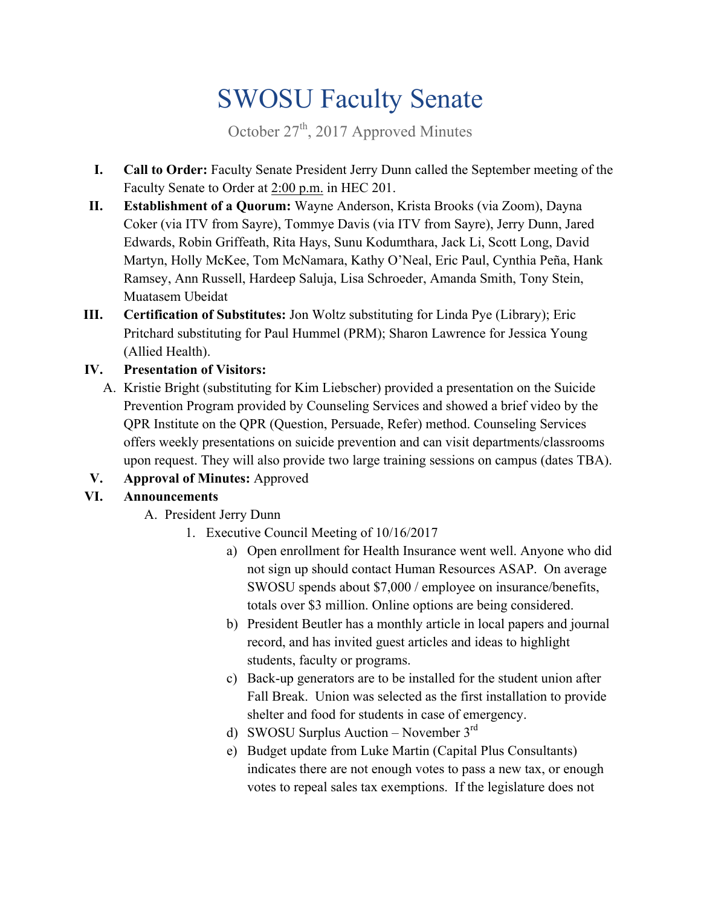# SWOSU Faculty Senate

October  $27<sup>th</sup>$ , 2017 Approved Minutes

- **I. Call to Order:** Faculty Senate President Jerry Dunn called the September meeting of the Faculty Senate to Order at 2:00 p.m. in HEC 201.
- **II. Establishment of a Quorum:** Wayne Anderson, Krista Brooks (via Zoom), Dayna Coker (via ITV from Sayre), Tommye Davis (via ITV from Sayre), Jerry Dunn, Jared Edwards, Robin Griffeath, Rita Hays, Sunu Kodumthara, Jack Li, Scott Long, David Martyn, Holly McKee, Tom McNamara, Kathy O'Neal, Eric Paul, Cynthia Peña, Hank Ramsey, Ann Russell, Hardeep Saluja, Lisa Schroeder, Amanda Smith, Tony Stein, Muatasem Ubeidat
- **III. Certification of Substitutes:** Jon Woltz substituting for Linda Pye (Library); Eric Pritchard substituting for Paul Hummel (PRM); Sharon Lawrence for Jessica Young (Allied Health).

### **IV. Presentation of Visitors:**

- A. Kristie Bright (substituting for Kim Liebscher) provided a presentation on the Suicide Prevention Program provided by Counseling Services and showed a brief video by the QPR Institute on the QPR (Question, Persuade, Refer) method. Counseling Services offers weekly presentations on suicide prevention and can visit departments/classrooms upon request. They will also provide two large training sessions on campus (dates TBA).
- **V. Approval of Minutes:** Approved

## **VI. Announcements**

- A. President Jerry Dunn
	- 1. Executive Council Meeting of 10/16/2017
		- a) Open enrollment for Health Insurance went well. Anyone who did not sign up should contact Human Resources ASAP. On average SWOSU spends about \$7,000 / employee on insurance/benefits, totals over \$3 million. Online options are being considered.
		- b) President Beutler has a monthly article in local papers and journal record, and has invited guest articles and ideas to highlight students, faculty or programs.
		- c) Back-up generators are to be installed for the student union after Fall Break. Union was selected as the first installation to provide shelter and food for students in case of emergency.
		- d) SWOSU Surplus Auction November  $3<sup>rd</sup>$
		- e) Budget update from Luke Martin (Capital Plus Consultants) indicates there are not enough votes to pass a new tax, or enough votes to repeal sales tax exemptions. If the legislature does not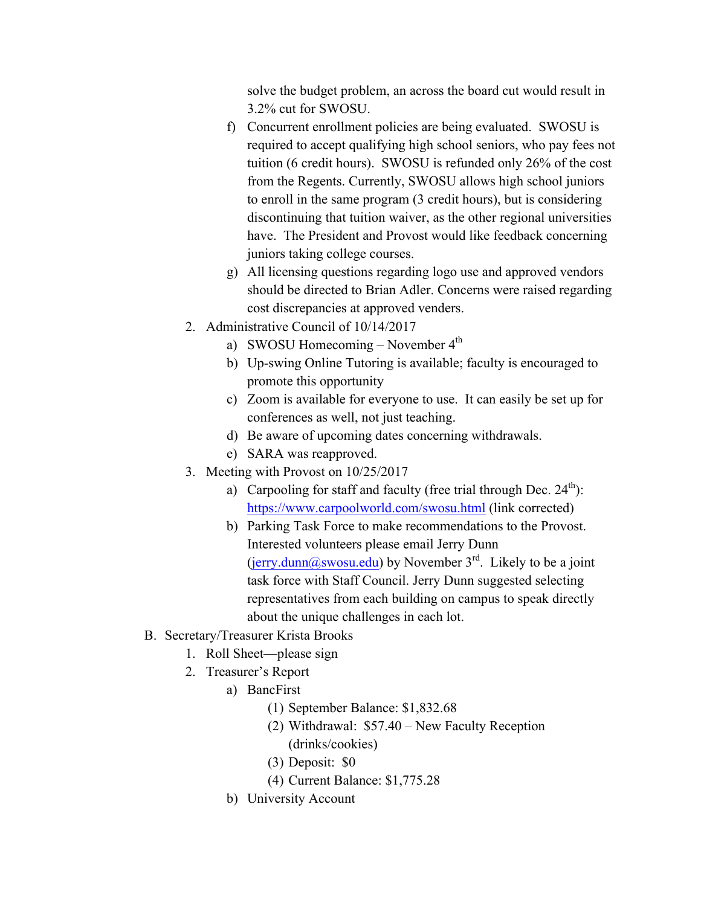solve the budget problem, an across the board cut would result in 3.2% cut for SWOSU.

- f) Concurrent enrollment policies are being evaluated. SWOSU is required to accept qualifying high school seniors, who pay fees not tuition (6 credit hours). SWOSU is refunded only 26% of the cost from the Regents. Currently, SWOSU allows high school juniors to enroll in the same program (3 credit hours), but is considering discontinuing that tuition waiver, as the other regional universities have. The President and Provost would like feedback concerning juniors taking college courses.
- g) All licensing questions regarding logo use and approved vendors should be directed to Brian Adler. Concerns were raised regarding cost discrepancies at approved venders.
- 2. Administrative Council of 10/14/2017
	- a) SWOSU Homecoming November  $4<sup>th</sup>$
	- b) Up-swing Online Tutoring is available; faculty is encouraged to promote this opportunity
	- c) Zoom is available for everyone to use. It can easily be set up for conferences as well, not just teaching.
	- d) Be aware of upcoming dates concerning withdrawals.
	- e) SARA was reapproved.
- 3. Meeting with Provost on 10/25/2017
	- a) Carpooling for staff and faculty (free trial through Dec.  $24<sup>th</sup>$ ): <https://www.carpoolworld.com/swosu.html> (link corrected)
	- b) Parking Task Force to make recommendations to the Provost. Interested volunteers please email Jerry Dunn ([jerry.dunn@swosu.edu](mailto:jerry.dunn@swosu.edu)) by November  $3<sup>rd</sup>$ . Likely to be a joint task force with Staff Council. Jerry Dunn suggested selecting representatives from each building on campus to speak directly about the unique challenges in each lot.
- B. Secretary/Treasurer Krista Brooks
	- 1. Roll Sheet—please sign
	- 2. Treasurer's Report
		- a) BancFirst
			- (1) September Balance: [\\$1,832.68](http:1,832.68)
			- (2) Withdrawal: \$57.40 New Faculty Reception (drinks/cookies)
			- (3) Deposit: \$0
			- (4) Current Balance: \$[1,775.28](http:1,775.28)
		- b) University Account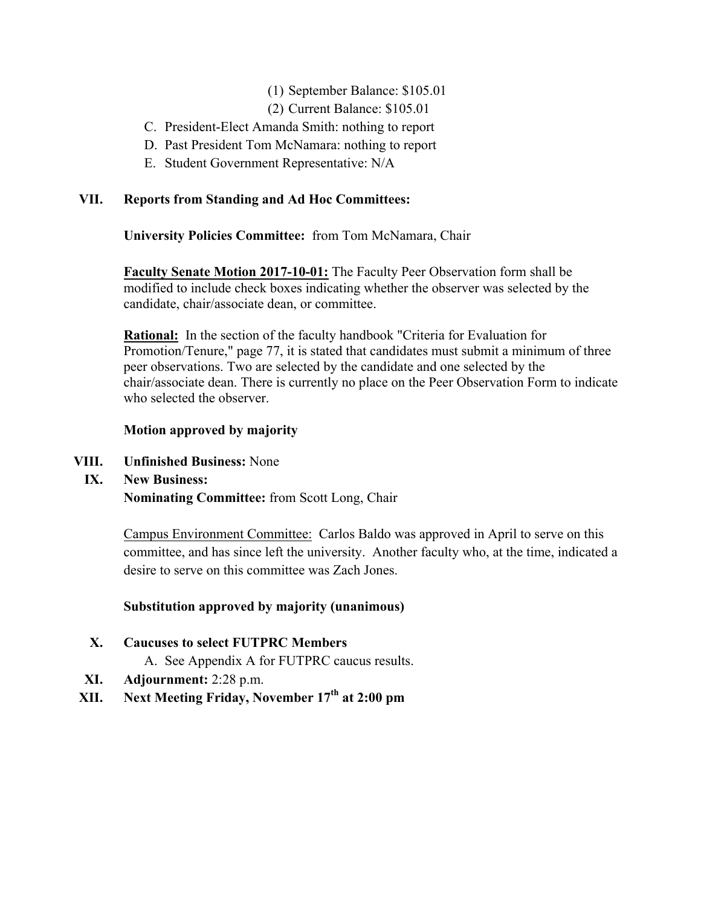#### (1) September Balance: \$105.01

- (2) Current Balance: \$105.01
- C. President-Elect Amanda Smith: nothing to report
- C. President-Elect Amanda Smith: nothing to report D. Past President Tom McNamara: nothing to report E. Student Government Representative: N/A
- 

#### **VII. Reports from Standing and Ad Hoc Committees:**

**University Policies Committee:** from Tom McNamara, Chair

**Faculty Senate Motion 2017-10-01:** The Faculty Peer Observation form shall be modified to include check boxes indicating whether the observer was selected by the candidate, chair/associate dean, or committee.

**Rational:** In the section of the faculty handbook "Criteria for Evaluation for Promotion/Tenure," page 77, it is stated that candidates must submit a minimum of three peer observations. Two are selected by the candidate and one selected by the chair/associate dean. There is currently no place on the Peer Observation Form to indicate who selected the observer.

#### **Motion approved by majority**

- **VIII. Unfinished Business:** None
- **IX. New Business: Nominating Committee:** from Scott Long, Chair

 Campus Environment Committee: Carlos Baldo was approved in April to serve on this committee, and has since left the university. Another faculty who, at the time, indicated a desire to serve on this committee was Zach Jones.

#### **Substitution approved by majority (unanimous)**

- **X. Caucuses to select FUTPRC Members** 
	- A. See Appendix A for FUTPRC caucus results.
- **XI. Adjournment:** 2:28 p.m.
- **XII.** Next Meeting Friday, November 17<sup>th</sup> at 2:00 pm